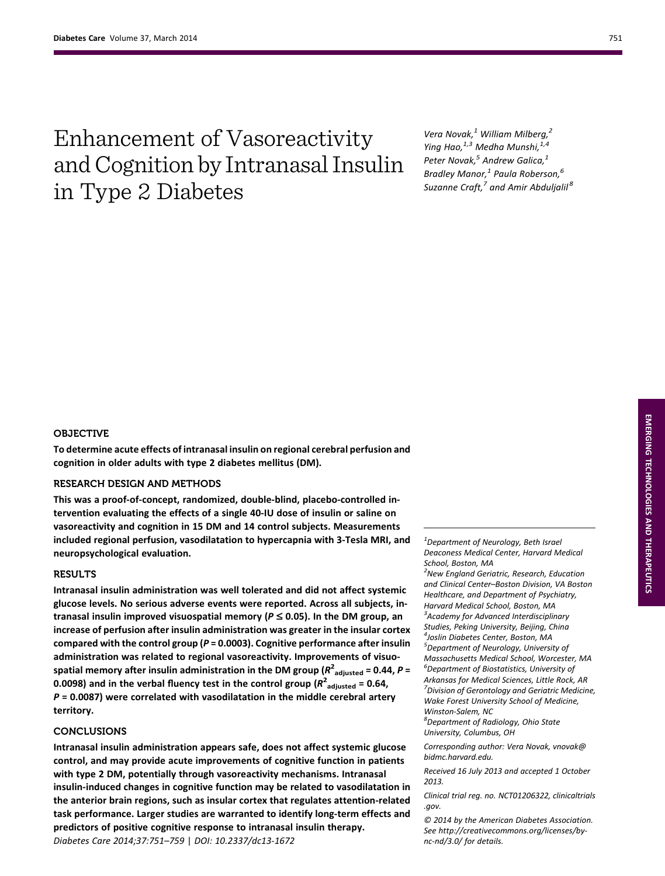# Enhancement of Vasoreactivity and Cognition by Intranasal Insulin in Type 2 Diabetes

Vera Novak, $<sup>1</sup>$  William Milberg, $<sup>2</sup>$ </sup></sup> Ying Hao, $^{1,3}$  Medha Munshi, $^{1,4}$ Peter Novak, $<sup>5</sup>$  Andrew Galica, $<sup>1</sup>$ </sup></sup> Bradley Manor, $^1$  Paula Roberson, $^6$ Suzanne Craft, $^7$  and Amir Abduljalil<sup>8</sup>

# OBJECTIVE

To determine acute effects of intranasal insulin on regional cerebral perfusion and cognition in older adults with type 2 diabetes mellitus (DM).

# RESEARCH DESIGN AND METHODS

This was a proof-of-concept, randomized, double-blind, placebo-controlled intervention evaluating the effects of a single 40-IU dose of insulin or saline on vasoreactivity and cognition in 15 DM and 14 control subjects. Measurements included regional perfusion, vasodilatation to hypercapnia with 3-Tesla MRI, and neuropsychological evaluation.

## RESULTS

Intranasal insulin administration was well tolerated and did not affect systemic glucose levels. No serious adverse events were reported. Across all subjects, intranasal insulin improved visuospatial memory ( $P \le 0.05$ ). In the DM group, an increase of perfusion after insulin administration was greater in the insular cortex compared with the control group ( $P = 0.0003$ ). Cognitive performance after insulin administration was related to regional vasoreactivity. Improvements of visuospatial memory after insulin administration in the DM group ( $R^2_{\phantom{2} \rm{adjusted}}$  = 0.44,  $P$  = 0.0098) and in the verbal fluency test in the control group ( $R^2_{\text{ adjusted}}$  = 0.64,  $P = 0.0087$ ) were correlated with vasodilatation in the middle cerebral artery territory.

## CONCLUSIONS

Intranasal insulin administration appears safe, does not affect systemic glucose control, and may provide acute improvements of cognitive function in patients with type 2 DM, potentially through vasoreactivity mechanisms. Intranasal insulin-induced changes in cognitive function may be related to vasodilatation in the anterior brain regions, such as insular cortex that regulates attention-related task performance. Larger studies are warranted to identify long-term effects and predictors of positive cognitive response to intranasal insulin therapy. Diabetes Care 2014;37:751–759 | DOI: 10.2337/dc13-1672

 $1$ Department of Neurology, Beth Israel Deaconess Medical Center, Harvard Medical School, Boston, MA <sup>2</sup>New England Geriatric, Research, Education

and Clinical Center–Boston Division, VA Boston Healthcare, and Department of Psychiatry, Harvard Medical School, Boston, MA <sup>3</sup> Academy for Advanced Interdisciplinary Studies, Peking University, Beijing, China 4 Joslin Diabetes Center, Boston, MA <sup>5</sup>Department of Neurology, University of Massachusetts Medical School, Worcester, MA 6 Department of Biostatistics, University of Arkansas for Medical Sciences, Little Rock, AR <sup>7</sup> Division of Gerontology and Geriatric Medicine,

Wake Forest University School of Medicine, Winston-Salem, NC

8 Department of Radiology, Ohio State University, Columbus, OH

Corresponding author: Vera Novak, [vnovak@](mailto:vnovak@bidmc.harvard.edu) [bidmc.harvard.edu.](mailto:vnovak@bidmc.harvard.edu)

Received 16 July 2013 and accepted 1 October 2013.

Clinical trial reg. no. NCT01206322, clinicaltrials .gov.

© 2014 by the American Diabetes Association. See [http://creativecommons.org/licenses/by](http://creativecommons.org/licenses/by-nc-nd/3.0/)[nc-nd/3.0/](http://creativecommons.org/licenses/by-nc-nd/3.0/) for details.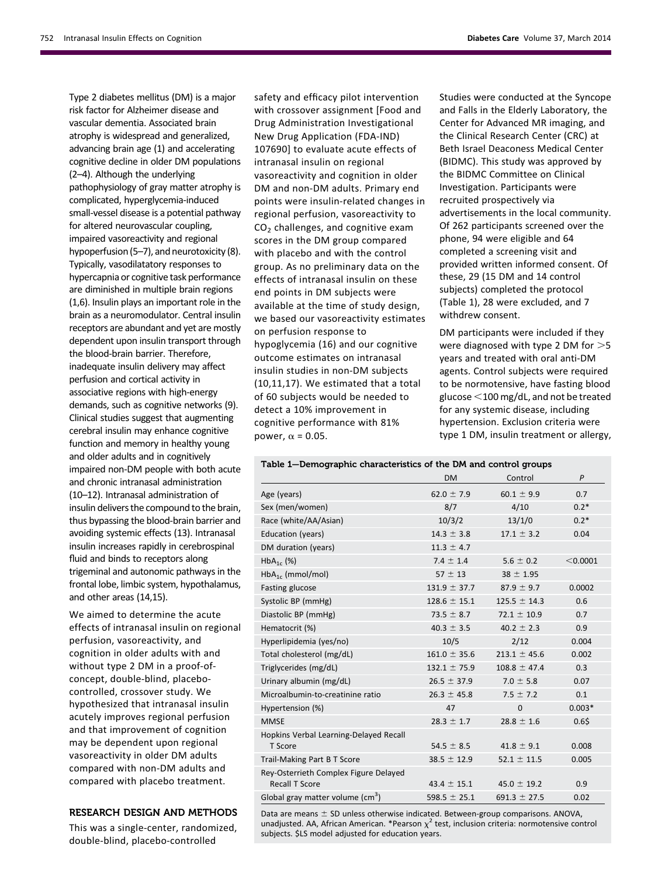Type 2 diabetes mellitus (DM) is a major risk factor for Alzheimer disease and vascular dementia. Associated brain atrophy is widespread and generalized, advancing brain age (1) and accelerating cognitive decline in older DM populations (2–4). Although the underlying pathophysiology of gray matter atrophy is complicated, hyperglycemia-induced small-vessel disease is a potential pathway for altered neurovascular coupling, impaired vasoreactivity and regional hypoperfusion (5–7), and neurotoxicity (8). Typically, vasodilatatory responses to hypercapnia or cognitive task performance are diminished in multiple brain regions (1,6). Insulin plays an important role in the brain as a neuromodulator. Central insulin receptors are abundant and yet are mostly dependent upon insulin transport through the blood-brain barrier. Therefore, inadequate insulin delivery may affect perfusion and cortical activity in associative regions with high-energy demands, such as cognitive networks (9). Clinical studies suggest that augmenting cerebral insulin may enhance cognitive function and memory in healthy young and older adults and in cognitively impaired non-DM people with both acute and chronic intranasal administration (10–12). Intranasal administration of insulin delivers the compound to the brain, thus bypassing the blood-brain barrier and avoiding systemic effects (13). Intranasal insulin increases rapidly in cerebrospinal fluid and binds to receptors along trigeminal and autonomic pathways in the frontal lobe, limbic system, hypothalamus, and other areas (14,15).

We aimed to determine the acute effects of intranasal insulin on regional perfusion, vasoreactivity, and cognition in older adults with and without type 2 DM in a proof-ofconcept, double-blind, placebocontrolled, crossover study. We hypothesized that intranasal insulin acutely improves regional perfusion and that improvement of cognition may be dependent upon regional vasoreactivity in older DM adults compared with non-DM adults and compared with placebo treatment.

## RESEARCH DESIGN AND METHODS

This was a single-center, randomized, double-blind, placebo-controlled

safety and efficacy pilot intervention with crossover assignment [Food and Drug Administration Investigational New Drug Application (FDA-IND) 107690] to evaluate acute effects of intranasal insulin on regional vasoreactivity and cognition in older DM and non-DM adults. Primary end points were insulin-related changes in regional perfusion, vasoreactivity to  $CO<sub>2</sub>$  challenges, and cognitive exam scores in the DM group compared with placebo and with the control group. As no preliminary data on the effects of intranasal insulin on these end points in DM subjects were available at the time of study design, we based our vasoreactivity estimates on perfusion response to hypoglycemia (16) and our cognitive outcome estimates on intranasal insulin studies in non-DM subjects (10,11,17). We estimated that a total of 60 subjects would be needed to detect a 10% improvement in cognitive performance with 81% power,  $\alpha$  = 0.05.

Studies were conducted at the Syncope and Falls in the Elderly Laboratory, the Center for Advanced MR imaging, and the Clinical Research Center (CRC) at Beth Israel Deaconess Medical Center (BIDMC). This study was approved by the BIDMC Committee on Clinical Investigation. Participants were recruited prospectively via advertisements in the local community. Of 262 participants screened over the phone, 94 were eligible and 64 completed a screening visit and provided written informed consent. Of these, 29 (15 DM and 14 control subjects) completed the protocol (Table 1), 28 were excluded, and 7 withdrew consent.

DM participants were included if they were diagnosed with type 2 DM for  $>5$ years and treated with oral anti-DM agents. Control subjects were required to be normotensive, have fasting blood glucose  $<$ 100 mg/dL, and not be treated for any systemic disease, including hypertension. Exclusion criteria were type 1 DM, insulin treatment or allergy,

#### Table 1—Demographic characteristics of the DM and control groups

|                                                                | <b>DM</b>        | Control          | P        |
|----------------------------------------------------------------|------------------|------------------|----------|
| Age (years)                                                    | 62.0 $\pm$ 7.9   | $60.1 \pm 9.9$   | 0.7      |
| Sex (men/women)                                                | 8/7              | 4/10             | $0.2*$   |
| Race (white/AA/Asian)                                          | 10/3/2           | 13/1/0           | $0.2*$   |
| Education (years)                                              | $14.3 \pm 3.8$   | $17.1 \pm 3.2$   | 0.04     |
| DM duration (years)                                            | $11.3 \pm 4.7$   |                  |          |
| $HbA_{1c}$ (%)                                                 | $7.4 \pm 1.4$    | $5.6 \pm 0.2$    | < 0.0001 |
| $HbA_{1c}$ (mmol/mol)                                          | $57 \pm 13$      | $38 \pm 1.95$    |          |
| Fasting glucose                                                | $131.9 \pm 37.7$ | $87.9 \pm 9.7$   | 0.0002   |
| Systolic BP (mmHg)                                             | $128.6 \pm 15.1$ | $125.5 \pm 14.3$ | 0.6      |
| Diastolic BP (mmHg)                                            | $73.5 \pm 8.7$   | $72.1 \pm 10.9$  | 0.7      |
| Hematocrit (%)                                                 | $40.3 \pm 3.5$   | $40.2 \pm 2.3$   | 0.9      |
| Hyperlipidemia (yes/no)                                        | 10/5             | 2/12             | 0.004    |
| Total cholesterol (mg/dL)                                      | $161.0 \pm 35.6$ | $213.1 \pm 45.6$ | 0.002    |
| Triglycerides (mg/dL)                                          | $132.1 \pm 75.9$ | $108.8 \pm 47.4$ | 0.3      |
| Urinary albumin (mg/dL)                                        | $26.5 \pm 37.9$  | $7.0 \pm 5.8$    | 0.07     |
| Microalbumin-to-creatinine ratio                               | $26.3 \pm 45.8$  | $7.5 \pm 7.2$    | 0.1      |
| Hypertension (%)                                               | 47               | $\Omega$         | $0.003*$ |
| <b>MMSE</b>                                                    | $28.3 \pm 1.7$   | $28.8 \pm 1.6$   | 0.65     |
| Hopkins Verbal Learning-Delayed Recall<br>T Score              | 54.5 $\pm$ 8.5   | $41.8 \pm 9.1$   | 0.008    |
| Trail-Making Part B T Score                                    | $38.5 \pm 12.9$  | $52.1 \pm 11.5$  | 0.005    |
| Rey-Osterrieth Complex Figure Delayed<br><b>Recall T Score</b> | $43.4 \pm 15.1$  | $45.0 \pm 19.2$  | 0.9      |
| Global gray matter volume (cm <sup>3</sup> )                   | 598.5 $\pm$ 25.1 | 691.3 $\pm$ 27.5 | 0.02     |

Data are means  $\pm$  SD unless otherwise indicated. Between-group comparisons. ANOVA, unadjusted. AA, African American. \*Pearson  $\chi^2$  test, inclusion criteria: normotensive control subjects. \$LS model adjusted for education years.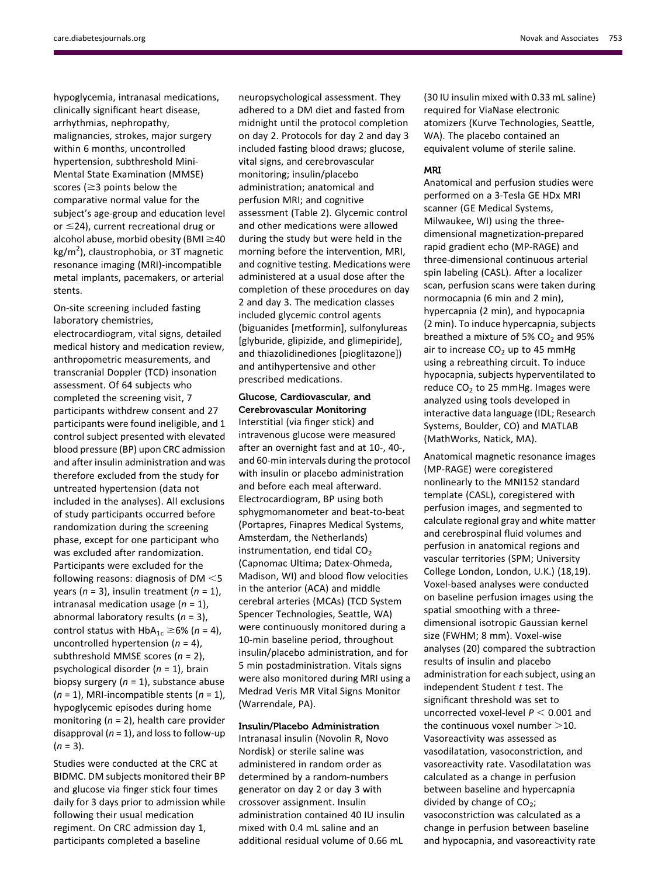hypoglycemia, intranasal medications, clinically significant heart disease, arrhythmias, nephropathy, malignancies, strokes, major surgery within 6 months, uncontrolled hypertension, subthreshold Mini-Mental State Examination (MMSE) scores ( $\geq$ 3 points below the comparative normal value for the subject's age-group and education level or  $\leq$ 24), current recreational drug or alcohol abuse, morbid obesity (BMI $\geq$ 40 kg/m<sup>2</sup>), claustrophobia, or 3T magnetic resonance imaging (MRI)-incompatible metal implants, pacemakers, or arterial stents.

On-site screening included fasting laboratory chemistries,

electrocardiogram, vital signs, detailed medical history and medication review, anthropometric measurements, and transcranial Doppler (TCD) insonation assessment. Of 64 subjects who completed the screening visit, 7 participants withdrew consent and 27 participants were found ineligible, and 1 control subject presented with elevated blood pressure (BP) upon CRC admission and after insulin administration and was therefore excluded from the study for untreated hypertension (data not included in the analyses). All exclusions of study participants occurred before randomization during the screening phase, except for one participant who was excluded after randomization. Participants were excluded for the following reasons: diagnosis of DM  $<$ 5 years ( $n = 3$ ), insulin treatment ( $n = 1$ ), intranasal medication usage  $(n = 1)$ , abnormal laboratory results  $(n = 3)$ , control status with  $HbA_{1c} \ge 6\%$  (n = 4), uncontrolled hypertension  $(n = 4)$ , subthreshold MMSE scores  $(n = 2)$ , psychological disorder  $(n = 1)$ , brain biopsy surgery  $(n = 1)$ , substance abuse  $(n = 1)$ , MRI-incompatible stents  $(n = 1)$ , hypoglycemic episodes during home monitoring  $(n = 2)$ , health care provider disapproval ( $n = 1$ ), and loss to follow-up  $(n = 3)$ .

Studies were conducted at the CRC at BIDMC. DM subjects monitored their BP and glucose via finger stick four times daily for 3 days prior to admission while following their usual medication regiment. On CRC admission day 1, participants completed a baseline

neuropsychological assessment. They adhered to a DM diet and fasted from midnight until the protocol completion on day 2. Protocols for day 2 and day 3 included fasting blood draws; glucose, vital signs, and cerebrovascular monitoring; insulin/placebo administration; anatomical and perfusion MRI; and cognitive assessment (Table 2). Glycemic control and other medications were allowed during the study but were held in the morning before the intervention, MRI, and cognitive testing. Medications were administered at a usual dose after the completion of these procedures on day 2 and day 3. The medication classes included glycemic control agents (biguanides [metformin], sulfonylureas [glyburide, glipizide, and glimepiride], and thiazolidinediones [pioglitazone]) and antihypertensive and other prescribed medications.

# Glucose, Cardiovascular, and Cerebrovascular Monitoring

Interstitial (via finger stick) and intravenous glucose were measured after an overnight fast and at 10-, 40-, and 60-min intervals during the protocol with insulin or placebo administration and before each meal afterward. Electrocardiogram, BP using both sphygmomanometer and beat-to-beat (Portapres, Finapres Medical Systems, Amsterdam, the Netherlands) instrumentation, end tidal  $CO<sub>2</sub>$ (Capnomac Ultima; Datex-Ohmeda, Madison, WI) and blood flow velocities in the anterior (ACA) and middle cerebral arteries (MCAs) (TCD System Spencer Technologies, Seattle, WA) were continuously monitored during a 10-min baseline period, throughout insulin/placebo administration, and for 5 min postadministration. Vitals signs were also monitored during MRI using a Medrad Veris MR Vital Signs Monitor (Warrendale, PA).

## Insulin/Placebo Administration

Intranasal insulin (Novolin R, Novo Nordisk) or sterile saline was administered in random order as determined by a random-numbers generator on day 2 or day 3 with crossover assignment. Insulin administration contained 40 IU insulin mixed with 0.4 mL saline and an additional residual volume of 0.66 mL

(30 IU insulin mixed with 0.33 mL saline) required for ViaNase electronic atomizers (Kurve Technologies, Seattle, WA). The placebo contained an equivalent volume of sterile saline.

## MRI

Anatomical and perfusion studies were performed on a 3-Tesla GE HDx MRI scanner (GE Medical Systems, Milwaukee, WI) using the threedimensional magnetization-prepared rapid gradient echo (MP-RAGE) and three-dimensional continuous arterial spin labeling (CASL). After a localizer scan, perfusion scans were taken during normocapnia (6 min and 2 min), hypercapnia (2 min), and hypocapnia (2 min). To induce hypercapnia, subjects breathed a mixture of 5%  $CO<sub>2</sub>$  and 95% air to increase  $CO<sub>2</sub>$  up to 45 mmHg using a rebreathing circuit. To induce hypocapnia, subjects hyperventilated to reduce  $CO<sub>2</sub>$  to 25 mmHg. Images were analyzed using tools developed in interactive data language (IDL; Research Systems, Boulder, CO) and MATLAB (MathWorks, Natick, MA).

Anatomical magnetic resonance images (MP-RAGE) were coregistered nonlinearly to the MNI152 standard template (CASL), coregistered with perfusion images, and segmented to calculate regional gray and white matter and cerebrospinal fluid volumes and perfusion in anatomical regions and vascular territories (SPM; University College London, London, U.K.) (18,19). Voxel-based analyses were conducted on baseline perfusion images using the spatial smoothing with a threedimensional isotropic Gaussian kernel size (FWHM; 8 mm). Voxel-wise analyses (20) compared the subtraction results of insulin and placebo administration for each subject, using an independent Student  $t$  test. The significant threshold was set to uncorrected voxel-level  $P < 0.001$  and the continuous voxel number  $>$ 10. Vasoreactivity was assessed as vasodilatation, vasoconstriction, and vasoreactivity rate. Vasodilatation was calculated as a change in perfusion between baseline and hypercapnia divided by change of  $CO<sub>2</sub>$ ; vasoconstriction was calculated as a change in perfusion between baseline and hypocapnia, and vasoreactivity rate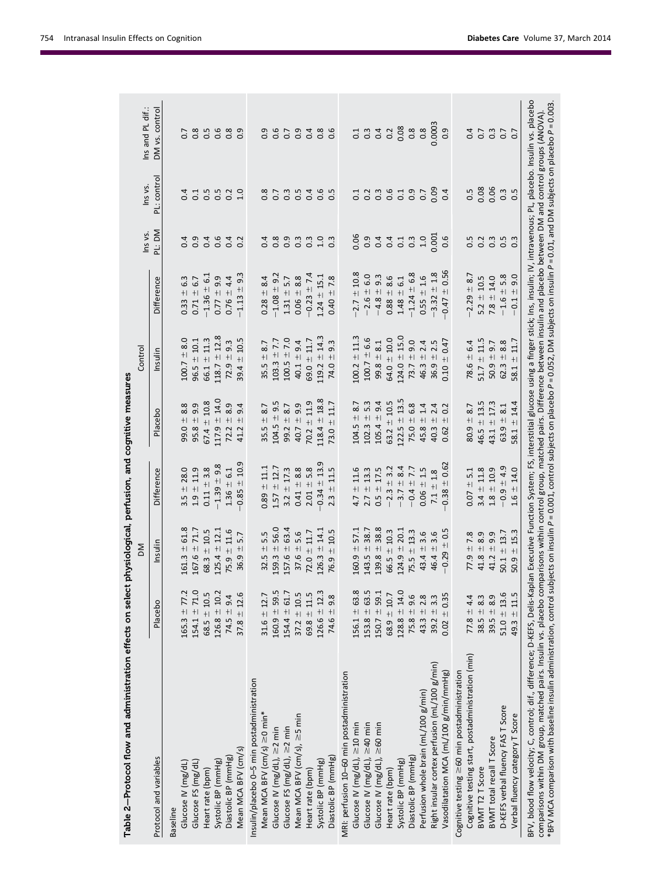| Table 2–Protocol flow and administration effects on select physiological, perfusion, and cognitive measures                                                                                                                                                                                                                                                                                                                                                                                                                                                                                                                        |                                                                                                    |                                                                         |                                  |                      |                                  |                                  |                  |                                           |                  |
|------------------------------------------------------------------------------------------------------------------------------------------------------------------------------------------------------------------------------------------------------------------------------------------------------------------------------------------------------------------------------------------------------------------------------------------------------------------------------------------------------------------------------------------------------------------------------------------------------------------------------------|----------------------------------------------------------------------------------------------------|-------------------------------------------------------------------------|----------------------------------|----------------------|----------------------------------|----------------------------------|------------------|-------------------------------------------|------------------|
|                                                                                                                                                                                                                                                                                                                                                                                                                                                                                                                                                                                                                                    |                                                                                                    | ΣÑ                                                                      |                                  |                      | Control                          |                                  | Ins vs.          | Ins vs.                                   | Ins and PL dif.: |
| Protocol and variables                                                                                                                                                                                                                                                                                                                                                                                                                                                                                                                                                                                                             | Placebo                                                                                            | Insulin                                                                 | Difference                       | Placebo              | Insulin                          | Difference                       | PL: DM           | PL: control                               | DM vs. control   |
| <b>Baseline</b>                                                                                                                                                                                                                                                                                                                                                                                                                                                                                                                                                                                                                    |                                                                                                    |                                                                         |                                  |                      |                                  |                                  |                  |                                           |                  |
| Glucose IV (mg/dL)                                                                                                                                                                                                                                                                                                                                                                                                                                                                                                                                                                                                                 |                                                                                                    | $161.3 \pm 61.8$                                                        | $3.5 \pm 28.0$                   | $99.0 + 8.8$         | $100.7 \pm 8.0$                  | $0.33 + 6.3$                     | 0.4              | 0.4                                       |                  |
| Glucose FS (mg/dL)                                                                                                                                                                                                                                                                                                                                                                                                                                                                                                                                                                                                                 | $165.3 \pm 77.2$<br>$154.1 \pm 71.0$                                                               | $167.6 \pm 71.7$                                                        | $1.9 \pm 11.9$                   | $95.8 \pm 9.9$       | $96.5 \pm 10.1$                  | $0.71 \pm 6.7$                   |                  |                                           |                  |
| Heart rate (bpm)                                                                                                                                                                                                                                                                                                                                                                                                                                                                                                                                                                                                                   | $68.5 \pm 10.5$                                                                                    | $68.3 + 10.5$                                                           | $0.11 \pm 3.8$                   | $67.4 \pm 10.8$      | $66.1 \pm 11.3$                  | $-1.36 \pm 6.1$                  |                  | $\begin{array}{c} 1.5 \\ 0.5 \end{array}$ |                  |
| Systolic BP (mmHg)                                                                                                                                                                                                                                                                                                                                                                                                                                                                                                                                                                                                                 | $126.8 \pm 10.2$                                                                                   | $125.4 \pm 12.1$                                                        | $-1.39 \pm 9.8$                  | $117.9 \pm 14.0$     | $118.7 \pm 12.8$                 | $0.77 \pm 9.9$                   | 0.46             | 0.5                                       |                  |
| Diastolic BP (mmHg)                                                                                                                                                                                                                                                                                                                                                                                                                                                                                                                                                                                                                | $74.5 \pm 9.4$                                                                                     | $75.9 \pm 11.6$                                                         | $1.36 \pm 6.1$                   | 8.9<br>$72.2 +$      | $72.9 \pm 9.3$                   | $0.76 \pm 4.4$                   | 0.4              |                                           |                  |
| Mean MCA BFV (cm/s)                                                                                                                                                                                                                                                                                                                                                                                                                                                                                                                                                                                                                | $37.8 \pm 12.6$                                                                                    | 5.7<br>$+$<br>36.9                                                      | $-0.85 \pm 10.9$                 | 9.4<br>$+1$<br>41.2  | 10.5<br>$+1$<br>39.4             | $-1.13 \pm 9.3$                  |                  | $0.2$<br>$1.0$                            |                  |
| Insulin/placebo 0-5 min postadministration                                                                                                                                                                                                                                                                                                                                                                                                                                                                                                                                                                                         |                                                                                                    |                                                                         |                                  |                      |                                  |                                  |                  |                                           |                  |
| Mean MCA BFV (cm/s) ≥0 min*                                                                                                                                                                                                                                                                                                                                                                                                                                                                                                                                                                                                        | $31.6 \pm 12.7$                                                                                    | $32.5 \pm 5.5$                                                          | $0.89 \pm 11.1$                  | $35.5 \pm 8.7$       | $-8.7$<br>35.5                   | $0.28 = 8.4$                     | 0.4              | $0.\overline{8}$                          |                  |
| Glucose IV (mg/dL), $\geq$ 2 min                                                                                                                                                                                                                                                                                                                                                                                                                                                                                                                                                                                                   |                                                                                                    | $159.3 \pm 56.0$                                                        | $1.57 \pm 12.7$                  | $104.5 \pm 9.5$      | $103.3 \pm 7.7$                  | $-1.08 \pm 9.2$                  | $0.\overline{8}$ | 0.7                                       | 0.6<br>0.6       |
| Glucose FS (mg/dL), $\geq$ 2 min                                                                                                                                                                                                                                                                                                                                                                                                                                                                                                                                                                                                   | $160.9 \pm 59.5$ $154.4 \pm 61.7$                                                                  | $157.6 \pm 63.4$                                                        | $3.2 \pm 17.3$                   | $99.2 + 8.7$         | $100.5 \pm 7.0$                  | $1.31 \pm 5.7$                   | <b>9.3.3</b>     | $0.\overline{3}$                          | $0.7$<br>$0.9$   |
| Mean MCA BFV (cm/s), ≥5 min                                                                                                                                                                                                                                                                                                                                                                                                                                                                                                                                                                                                        | $37.2 \pm 10.5$                                                                                    | 5.6<br>$37.6 +$                                                         | $0.41 \pm 8.8$                   | $40.7 \pm 9.9$       | $40.1 \pm 9.4$                   | $0.06 + 8.8$                     |                  | 0.5                                       |                  |
| Heart rate (bpm)                                                                                                                                                                                                                                                                                                                                                                                                                                                                                                                                                                                                                   | $69.8 \pm 11.5$                                                                                    | 11.7<br>$72.0 +$                                                        | $2.01 \pm 5.8$                   | $70.2 \pm 11.9$      | $69.0 \pm 11.7$                  | $-0.23 \pm 7.4$                  |                  | 0.4                                       |                  |
| Systolic BP (mmHg)                                                                                                                                                                                                                                                                                                                                                                                                                                                                                                                                                                                                                 | $126.6 \pm 12.3$                                                                                   | $126.3 \pm 14.1$                                                        | $-0.34 \pm 13.9$                 | $118.4 \pm 18.8$     | $119.2 \pm 14.3$                 | $1.24 \pm 15.1$                  | 1.0              | 0.6                                       | 0.480            |
| Diastolic BP (mmHg)                                                                                                                                                                                                                                                                                                                                                                                                                                                                                                                                                                                                                | $74.6 \pm 9.8$                                                                                     | 10.5<br>$+1$<br>76.9                                                    | $\pm$ 11.5<br>2.3                | 11.7<br>$+1$<br>73.0 | w.<br>ெ<br>$\bf + $<br>74.0      | ± 7.8<br>0.40                    | $0.\overline{3}$ | $\overline{0.5}$                          |                  |
| MRI: perfusion 10-60 min postadministration                                                                                                                                                                                                                                                                                                                                                                                                                                                                                                                                                                                        |                                                                                                    |                                                                         |                                  |                      |                                  |                                  |                  |                                           |                  |
| Glucose IV (mg/dL), $\geq$ 10 min                                                                                                                                                                                                                                                                                                                                                                                                                                                                                                                                                                                                  |                                                                                                    |                                                                         |                                  | $104.5 \pm 8.7$      | $100.2 \pm 11.3$                 | $\pm$ 10.8<br>$-2.7$             | 0.06             | C.1                                       | 0.1              |
| Glucose IV (mg/dL), $\geq$ 40 min                                                                                                                                                                                                                                                                                                                                                                                                                                                                                                                                                                                                  | $\begin{array}{r} 156.1 \pm 63.8 \\ 153.8 \pm 63.5 \\ 150.7 \pm 59.1 \\ 68.9 \pm 10.7 \end{array}$ | 38.7<br>$\begin{array}{c} 160.9 \pm 57.1 \\ 143.5 \pm 38.7 \end{array}$ | $4.7 \pm 11.6$<br>$2.7 \pm 13.3$ | $+5.3$<br>102.3      | $100.7 \pm 6.6$                  | $-2.6 \pm 6.0$                   | 0.9              | 0.2                                       | $\overline{0}$   |
| Glucose IV (mg/dL), ≥60 min                                                                                                                                                                                                                                                                                                                                                                                                                                                                                                                                                                                                        |                                                                                                    | 38.8<br>$139.8 +$                                                       | $0.5 \pm 17.5$                   | $\pm$ 9.4<br>105.4   | $99.8 \pm 8.1$                   | $-4.8 \pm 9.3$                   | 0.4              | $0.\overline{3}$                          | 0.4              |
| Heart rate (bpm)                                                                                                                                                                                                                                                                                                                                                                                                                                                                                                                                                                                                                   |                                                                                                    | $-10.3$<br>66.5                                                         | $-2.3 \pm 3.2$                   | $63.2 \pm 10.5$      | $64.0 + 10.0$                    | $0.88 + 8.6$                     | 0.4              | 0.6                                       | 0.2              |
| Systolic BP (mmHg)                                                                                                                                                                                                                                                                                                                                                                                                                                                                                                                                                                                                                 | $128.8 \pm 14.0$                                                                                   | $124.9 \pm 20.1$                                                        | $+ 8.4$<br>$-3.7$                | $122.5 \pm 13.5$     | $124.0 \pm 15.0$                 | $1.48 \pm 6.1$                   | 0.1              | $\overline{0}$                            | 0.08             |
| Diastolic BP (mmHg)                                                                                                                                                                                                                                                                                                                                                                                                                                                                                                                                                                                                                | $75.8 \pm 9.6$                                                                                     | $75.5 \pm 13.3$                                                         | $-0.4 \pm 7.7$                   | 6.8<br>$75.0 +$      | $73.7 \pm 9.0$                   | $-1.24 \pm 6.8$                  | $0.\overline{3}$ | 0.9                                       | $0.\overline{8}$ |
| Perfusion whole brain (mL/100 g/min)                                                                                                                                                                                                                                                                                                                                                                                                                                                                                                                                                                                               | $43.3 \pm 2.8$                                                                                     | $43.4 \pm 3.6$                                                          | $0.06 \pm 1.5$                   | 1.4<br>$45.8 \pm 1$  | $46.3 \pm 2.4$<br>$36.9 \pm 2.5$ | $0.55 \pm 1.6$                   | 1.0              | 0.7                                       | $0.\overline{8}$ |
| Right insular cortex perfusion (mL/100 g/min)                                                                                                                                                                                                                                                                                                                                                                                                                                                                                                                                                                                      | $39.2 + 3.3$                                                                                       | $46.4 \pm 3.6$                                                          | $7.1 + 1.8$                      | $40.3 \pm 2.4$       |                                  | $-3.32 \pm 1.8$                  | 0.001            | 0.09                                      | 0.0003           |
| Vasodilatation MCA (mL/100 g/min/mmHg)                                                                                                                                                                                                                                                                                                                                                                                                                                                                                                                                                                                             | $0.02 \pm 0.35$                                                                                    | $-0.29 \pm 0.5$                                                         | $0.38 + 0.62$                    | 0.2<br>$+1$<br>0.62  | 0.47<br>$0.10 +$                 | $-0.47 \pm 0.56$                 | 0.6              | 0.4                                       | 0.9              |
| Cognitive testing $\geq$ 60 min postadministration                                                                                                                                                                                                                                                                                                                                                                                                                                                                                                                                                                                 |                                                                                                    |                                                                         |                                  |                      |                                  |                                  |                  |                                           |                  |
| Cognitive testing start, postadministration (min)                                                                                                                                                                                                                                                                                                                                                                                                                                                                                                                                                                                  | 77.8 $\pm$ 4.4                                                                                     |                                                                         | $0.07 \pm 5.1$                   | 8.7<br>$80.9 +$      | 6.4<br>$78.6 +$                  | $-2.29 \pm 8.7$                  | 0.5              | 0.5                                       | 0.4              |
| BVMT T2 T Score                                                                                                                                                                                                                                                                                                                                                                                                                                                                                                                                                                                                                    | $38.5 + 8.3$                                                                                       | $77.9 \pm 7.8$<br>41.8 $\pm$ 8.9                                        | $3.4 \pm 11.8$                   | $46.5 \pm 13.5$      | $51.7 \pm 11.5$                  | $5.2 \pm 10.5$                   |                  | 0.08                                      | $\overline{0}$ . |
| BVMT total recall T Score                                                                                                                                                                                                                                                                                                                                                                                                                                                                                                                                                                                                          | $39.5 + 8.9$                                                                                       | $41.2 \pm 9.9$                                                          | $1.8 \pm 10.9$                   | ± 17.3<br>43.1       | $50.9 + 9.7$                     | $7.8 \pm 14.0$                   |                  | 0.06                                      |                  |
| D-KEFS verbal fluency FAS T Score                                                                                                                                                                                                                                                                                                                                                                                                                                                                                                                                                                                                  | $51.0 + 13.6$                                                                                      | $50.1 + 13.7$                                                           | $-0.9 \pm 4.9$                   | $63.9 \pm 8.1$       | $62.3 + 8.8$                     | $-1.6 \pm 5.8$<br>$-0.1 \pm 9.0$ | 3.3850           | $0.\overline{3}$<br>0.5                   | $0.3$<br>$0.7$   |
| Verbal fluency category T Score                                                                                                                                                                                                                                                                                                                                                                                                                                                                                                                                                                                                    | $49.3 \pm 11.5$                                                                                    | 15.3<br>$50.9 +$                                                        | ± 14.0<br>1.6                    | 14.4<br>$58.1 +$     | $11.7\,$<br>$+1$<br>58.1         |                                  |                  |                                           |                  |
| BFV, blood flow velocity, C, control, diff-erence; D-KEFS, Delis-Kaplan Executive Function System; FS, interstitial glucose using a finger stick; Ins, insulin; IV, intravenous; PL, placebo. Insulin vs. placebo<br>*BFV MCA comparison with baseline insulin administration, control subjects on insulin P = 0.001, control subjects on placebo P = 0.052, DM subjects on insulin P = 0.01, and DM subjects on placebo P = 0.03<br>comparisons within DM group, matched pairs. Insulin vs. placebo comparisons within control group, matched pairs. Difference between insulin and placebo between DM and control groups (ANOVA) |                                                                                                    |                                                                         |                                  |                      |                                  |                                  |                  |                                           |                  |

754 Intranasal Insulin Effects on Cognition Diabetes Care Volume 37, March 2014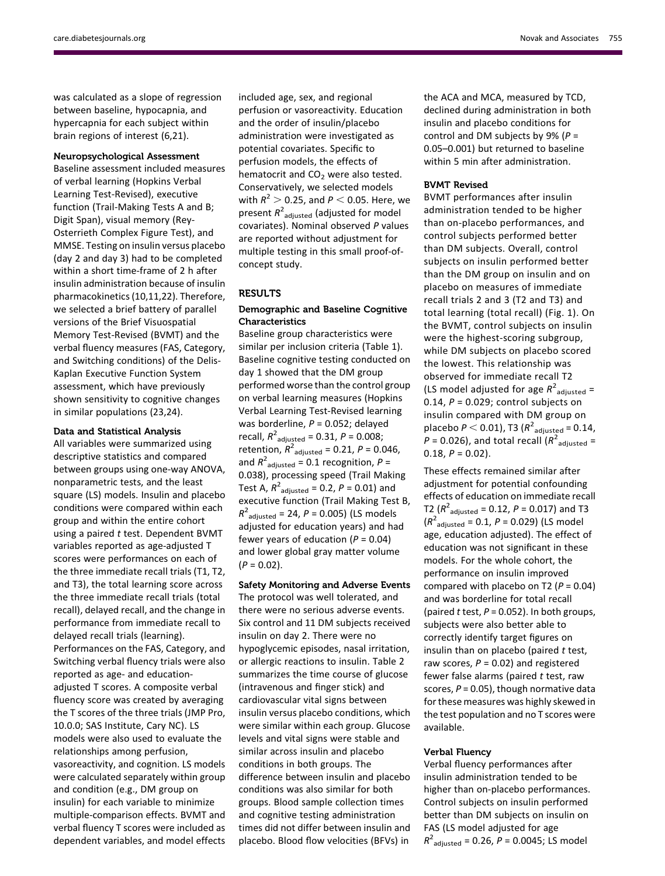was calculated as a slope of regression between baseline, hypocapnia, and hypercapnia for each subject within brain regions of interest (6,21).

#### Neuropsychological Assessment

Baseline assessment included measures of verbal learning (Hopkins Verbal Learning Test-Revised), executive function (Trail-Making Tests A and B; Digit Span), visual memory (Rey-Osterrieth Complex Figure Test), and MMSE. Testing on insulin versus placebo (day 2 and day 3) had to be completed within a short time-frame of 2 h after insulin administration because of insulin pharmacokinetics (10,11,22). Therefore, we selected a brief battery of parallel versions of the Brief Visuospatial Memory Test-Revised (BVMT) and the verbal fluency measures (FAS, Category, and Switching conditions) of the Delis-Kaplan Executive Function System assessment, which have previously shown sensitivity to cognitive changes in similar populations (23,24).

## Data and Statistical Analysis

All variables were summarized using descriptive statistics and compared between groups using one-way ANOVA, nonparametric tests, and the least square (LS) models. Insulin and placebo conditions were compared within each group and within the entire cohort using a paired  $t$  test. Dependent BVMT variables reported as age-adjusted T scores were performances on each of the three immediate recall trials (T1, T2, and T3), the total learning score across the three immediate recall trials (total recall), delayed recall, and the change in performance from immediate recall to delayed recall trials (learning). Performances on the FAS, Category, and Switching verbal fluency trials were also reported as age- and educationadjusted T scores. A composite verbal fluency score was created by averaging the T scores of the three trials (JMP Pro, 10.0.0; SAS Institute, Cary NC). LS models were also used to evaluate the relationships among perfusion, vasoreactivity, and cognition. LS models were calculated separately within group and condition (e.g., DM group on insulin) for each variable to minimize multiple-comparison effects. BVMT and verbal fluency T scores were included as dependent variables, and model effects

included age, sex, and regional perfusion or vasoreactivity. Education and the order of insulin/placebo administration were investigated as potential covariates. Specific to perfusion models, the effects of hematocrit and  $CO<sub>2</sub>$  were also tested. Conservatively, we selected models with  $R^2 > 0.25$ , and  $P < 0.05$ . Here, we present  $R^2_{\phantom{2} \text{adjusted}}$  (adjusted for model covariates). Nominal observed P values are reported without adjustment for multiple testing in this small proof-ofconcept study.

# RESULTS

# Demographic and Baseline Cognitive Characteristics

Baseline group characteristics were similar per inclusion criteria (Table 1). Baseline cognitive testing conducted on day 1 showed that the DM group performed worse than the control group on verbal learning measures (Hopkins Verbal Learning Test-Revised learning was borderline,  $P = 0.052$ ; delayed recall,  $R^2$ <sub>adjusted</sub> = 0.31,  $P = 0.008$ ; retention,  $R^2$ <sub>adjusted</sub> = 0.21, P = 0.046, and  $R^2$ <sub>adjusted</sub> = 0.1 recognition, P = 0.038), processing speed (Trail Making Test A,  $R^2$ <sub>adjusted</sub> = 0.2,  $P$  = 0.01) and executive function (Trail Making Test B,  $R^2$ <sub>adjusted</sub> = 24,  $P$  = 0.005) (LS models adjusted for education years) and had fewer years of education ( $P = 0.04$ ) and lower global gray matter volume  $(P = 0.02)$ .

Safety Monitoring and Adverse Events The protocol was well tolerated, and there were no serious adverse events. Six control and 11 DM subjects received insulin on day 2. There were no hypoglycemic episodes, nasal irritation, or allergic reactions to insulin. Table 2 summarizes the time course of glucose (intravenous and finger stick) and cardiovascular vital signs between insulin versus placebo conditions, which were similar within each group. Glucose levels and vital signs were stable and similar across insulin and placebo conditions in both groups. The difference between insulin and placebo conditions was also similar for both groups. Blood sample collection times and cognitive testing administration times did not differ between insulin and placebo. Blood flow velocities (BFVs) in

the ACA and MCA, measured by TCD, declined during administration in both insulin and placebo conditions for control and DM subjects by 9% ( $P =$ 0.05–0.001) but returned to baseline within 5 min after administration.

#### BVMT Revised

BVMT performances after insulin administration tended to be higher than on-placebo performances, and control subjects performed better than DM subjects. Overall, control subjects on insulin performed better than the DM group on insulin and on placebo on measures of immediate recall trials 2 and 3 (T2 and T3) and total learning (total recall) (Fig. 1). On the BVMT, control subjects on insulin were the highest-scoring subgroup, while DM subjects on placebo scored the lowest. This relationship was observed for immediate recall T2 (LS model adjusted for age  $R^2$ <sub>adjusted</sub> = 0.14,  $P = 0.029$ ; control subjects on insulin compared with DM group on placebo  $P < 0.01$ ), T3 ( $R^2$ <sub>adjusted</sub> = 0.14,  $\dot{P}$  = 0.026), and total recall ( $R^2$ <sub>adjusted</sub> =  $0.18, P = 0.02$ ).

These effects remained similar after adjustment for potential confounding effects of education on immediate recall T2 ( $R^2$ <sub>adjusted</sub> = 0.12,  $P$  = 0.017) and T3  $(R^2_{\text{adjusted}} = 0.1, P = 0.029)$  (LS model age, education adjusted). The effect of education was not significant in these models. For the whole cohort, the performance on insulin improved compared with placebo on T2 ( $P = 0.04$ ) and was borderline for total recall (paired t test,  $P = 0.052$ ). In both groups, subjects were also better able to correctly identify target figures on insulin than on placebo (paired  $t$  test, raw scores,  $P = 0.02$ ) and registered fewer false alarms (paired  $t$  test, raw scores,  $P = 0.05$ ), though normative data for these measures was highly skewed in the test population and no T scores were available.

## Verbal Fluency

Verbal fluency performances after insulin administration tended to be higher than on-placebo performances. Control subjects on insulin performed better than DM subjects on insulin on FAS (LS model adjusted for age  $R^2$ <sub>adjusted</sub> = 0.26, P = 0.0045; LS model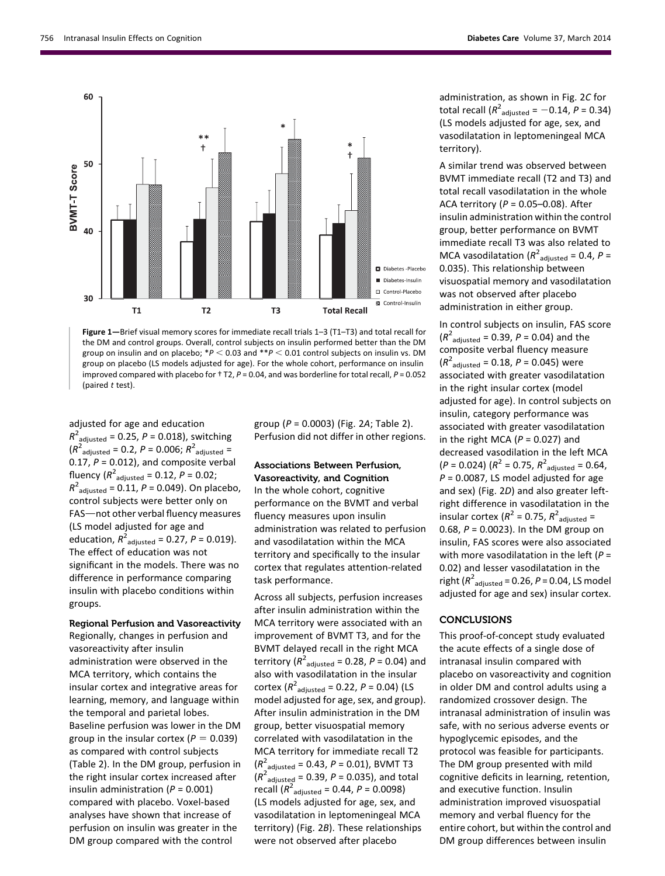

Figure 1—Brief visual memory scores for immediate recall trials 1–3 (T1–T3) and total recall for the DM and control groups. Overall, control subjects on insulin performed better than the DM group on insulin and on placebo;  $*P < 0.03$  and  $*P < 0.01$  control subjects on insulin vs. DM group on placebo (LS models adjusted for age). For the whole cohort, performance on insulin improved compared with placebo for  $+$  T2,  $P = 0.04$ , and was borderline for total recall,  $P = 0.052$ (paired t test).

adjusted for age and education  $R^2$ <sub>adjusted</sub> = 0.25, P = 0.018), switching  $(R^{2}_{\text{adjusted}} = 0.2, P = 0.006; R^{2}_{\text{adjusted}} =$ 0.17,  $P = 0.012$ ), and composite verbal fluency ( $R^2$ <sub>adjusted</sub> = 0.12,  $P$  = 0.02;  $R^2$ <sub>adjusted</sub> = 0.11, P = 0.049). On placebo, control subjects were better only on FAS-not other verbal fluency measures (LS model adjusted for age and education,  $R^2_{\text{adjusted}} = 0.27$ ,  $P = 0.019$ ). The effect of education was not significant in the models. There was no difference in performance comparing insulin with placebo conditions within groups.

## Regional Perfusion and Vasoreactivity

Regionally, changes in perfusion and vasoreactivity after insulin administration were observed in the MCA territory, which contains the insular cortex and integrative areas for learning, memory, and language within the temporal and parietal lobes. Baseline perfusion was lower in the DM group in the insular cortex ( $P = 0.039$ ) as compared with control subjects (Table 2). In the DM group, perfusion in the right insular cortex increased after insulin administration  $(P = 0.001)$ compared with placebo. Voxel-based analyses have shown that increase of perfusion on insulin was greater in the DM group compared with the control

group ( $P = 0.0003$ ) (Fig. 2A; Table 2). Perfusion did not differ in other regions.

# Associations Between Perfusion, Vasoreactivity, and Cognition

In the whole cohort, cognitive performance on the BVMT and verbal fluency measures upon insulin administration was related to perfusion and vasodilatation within the MCA territory and specifically to the insular cortex that regulates attention-related task performance.

Across all subjects, perfusion increases after insulin administration within the MCA territory were associated with an improvement of BVMT T3, and for the BVMT delayed recall in the right MCA territory ( $R^2$ <sub>adjusted</sub> = 0.28, P = 0.04) and also with vasodilatation in the insular cortex  $(R^2_{\text{adjusted}} = 0.22, P = 0.04)$  (LS model adjusted for age, sex, and group). After insulin administration in the DM group, better visuospatial memory correlated with vasodilatation in the MCA territory for immediate recall T2  $(R^2_{\text{adjusted}} = 0.43, P = 0.01)$ , BVMT T3  $(R^2_{\text{adjusted}} = 0.39, P = 0.035)$ , and total recall  $(R^2_{\text{adjusted}} = 0.44, P = 0.0098)$ (LS models adjusted for age, sex, and vasodilatation in leptomeningeal MCA territory) (Fig. 2B). These relationships were not observed after placebo

administration, as shown in Fig. 2C for total recall  $(R^2_{\text{adjusted}} = -0.14, P = 0.34)$ (LS models adjusted for age, sex, and vasodilatation in leptomeningeal MCA territory).

A similar trend was observed between BVMT immediate recall (T2 and T3) and total recall vasodilatation in the whole ACA territory ( $P = 0.05 - 0.08$ ). After insulin administration within the control group, better performance on BVMT immediate recall T3 was also related to MCA vasodilatation ( $R^2$ <sub>adjusted</sub> = 0.4, P = 0.035). This relationship between visuospatial memory and vasodilatation was not observed after placebo administration in either group.

In control subjects on insulin, FAS score  $(R^2_{\text{adjusted}} = 0.39, P = 0.04)$  and the composite verbal fluency measure  $(R^2_{\text{adjusted}} = 0.18, P = 0.045)$  were associated with greater vasodilatation in the right insular cortex (model adjusted for age). In control subjects on insulin, category performance was associated with greater vasodilatation in the right MCA ( $P = 0.027$ ) and decreased vasodilation in the left MCA  $(P = 0.024)$   $(R^2 = 0.75, R^2_{\text{adjusted}} = 0.64,$  $P = 0.0087$ , LS model adjusted for age and sex) (Fig. 2D) and also greater leftright difference in vasodilatation in the insular cortex ( $R^2$  = 0.75,  $R^2$ <sub>adjusted</sub> = 0.68,  $P = 0.0023$ ). In the DM group on insulin, FAS scores were also associated with more vasodilatation in the left ( $P =$ 0.02) and lesser vasodilatation in the right ( $R^2$ <sub>adjusted</sub> = 0.26, P = 0.04, LS model adjusted for age and sex) insular cortex.

## **CONCLUSIONS**

This proof-of-concept study evaluated the acute effects of a single dose of intranasal insulin compared with placebo on vasoreactivity and cognition in older DM and control adults using a randomized crossover design. The intranasal administration of insulin was safe, with no serious adverse events or hypoglycemic episodes, and the protocol was feasible for participants. The DM group presented with mild cognitive deficits in learning, retention, and executive function. Insulin administration improved visuospatial memory and verbal fluency for the entire cohort, but within the control and DM group differences between insulin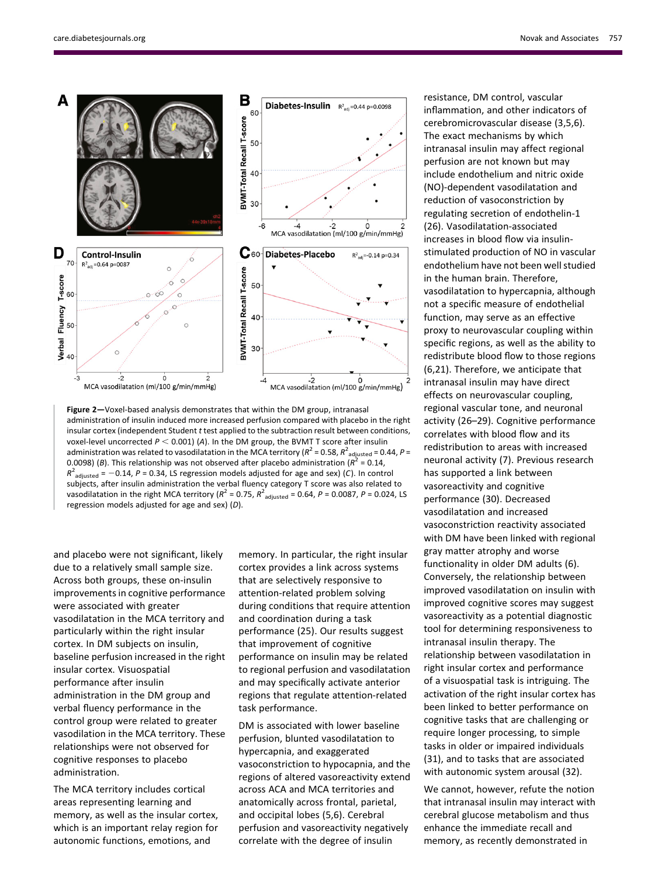

Figure 2-Voxel-based analysis demonstrates that within the DM group, intranasal administration of insulin induced more increased perfusion compared with placebo in the right insular cortex (independent Student t test applied to the subtraction result between conditions, voxel-level uncorrected  $P < 0.001$ ) (A). In the DM group, the BVMT T score after insulin administration was related to vasodilatation in the MCA territory ( $R^2$  = 0.58,  $R^2$   $_{\rm adjusted}$  = 0.44,  $P$  = 0.0098) (B). This relationship was not observed after placebo administration ( $R^2$  = 0.14,  $R^2$ <sub>adjusted</sub> = -0.14, P = 0.34, LS regression models adjusted for age and sex) (C). In control subjects, after insulin administration the verbal fluency category T score was also related to vasodilatation in the right MCA territory ( $R^2$  = 0.75,  $R^2$ <sub>adjusted</sub> = 0.64, P = 0.0087, P = 0.024, LS regression models adjusted for age and sex) (D).

and placebo were not significant, likely due to a relatively small sample size. Across both groups, these on-insulin improvements in cognitive performance were associated with greater vasodilatation in the MCA territory and particularly within the right insular cortex. In DM subjects on insulin, baseline perfusion increased in the right insular cortex. Visuospatial performance after insulin administration in the DM group and verbal fluency performance in the control group were related to greater vasodilation in the MCA territory. These relationships were not observed for cognitive responses to placebo administration.

The MCA territory includes cortical areas representing learning and memory, as well as the insular cortex, which is an important relay region for autonomic functions, emotions, and

memory. In particular, the right insular cortex provides a link across systems that are selectively responsive to attention-related problem solving during conditions that require attention and coordination during a task performance (25). Our results suggest that improvement of cognitive performance on insulin may be related to regional perfusion and vasodilatation and may specifically activate anterior regions that regulate attention-related task performance.

DM is associated with lower baseline perfusion, blunted vasodilatation to hypercapnia, and exaggerated vasoconstriction to hypocapnia, and the regions of altered vasoreactivity extend across ACA and MCA territories and anatomically across frontal, parietal, and occipital lobes (5,6). Cerebral perfusion and vasoreactivity negatively correlate with the degree of insulin

resistance, DM control, vascular inflammation, and other indicators of cerebromicrovascular disease (3,5,6). The exact mechanisms by which intranasal insulin may affect regional perfusion are not known but may include endothelium and nitric oxide (NO)-dependent vasodilatation and reduction of vasoconstriction by regulating secretion of endothelin-1 (26). Vasodilatation-associated increases in blood flow via insulinstimulated production of NO in vascular endothelium have not been well studied in the human brain. Therefore, vasodilatation to hypercapnia, although not a specific measure of endothelial function, may serve as an effective proxy to neurovascular coupling within specific regions, as well as the ability to redistribute blood flow to those regions (6,21). Therefore, we anticipate that intranasal insulin may have direct effects on neurovascular coupling, regional vascular tone, and neuronal activity (26–29). Cognitive performance correlates with blood flow and its redistribution to areas with increased neuronal activity (7). Previous research has supported a link between vasoreactivity and cognitive performance (30). Decreased vasodilatation and increased vasoconstriction reactivity associated with DM have been linked with regional gray matter atrophy and worse functionality in older DM adults (6). Conversely, the relationship between improved vasodilatation on insulin with improved cognitive scores may suggest vasoreactivity as a potential diagnostic tool for determining responsiveness to intranasal insulin therapy. The relationship between vasodilatation in right insular cortex and performance of a visuospatial task is intriguing. The activation of the right insular cortex has been linked to better performance on cognitive tasks that are challenging or require longer processing, to simple tasks in older or impaired individuals (31), and to tasks that are associated with autonomic system arousal (32).

We cannot, however, refute the notion that intranasal insulin may interact with cerebral glucose metabolism and thus enhance the immediate recall and memory, as recently demonstrated in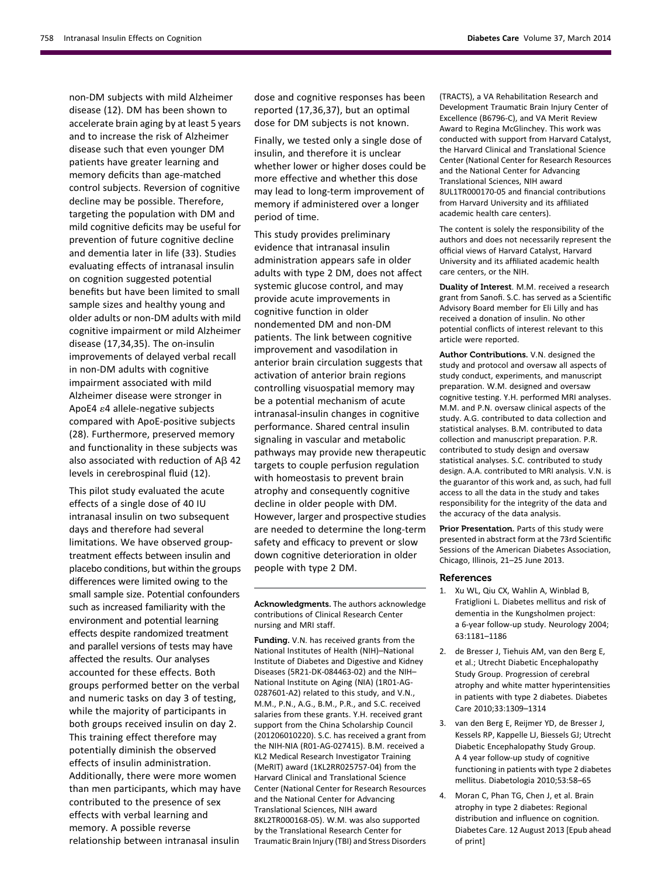non-DM subjects with mild Alzheimer disease (12). DM has been shown to accelerate brain aging by at least 5 years and to increase the risk of Alzheimer disease such that even younger DM patients have greater learning and memory deficits than age-matched control subjects. Reversion of cognitive decline may be possible. Therefore, targeting the population with DM and mild cognitive deficits may be useful for prevention of future cognitive decline and dementia later in life (33). Studies evaluating effects of intranasal insulin on cognition suggested potential benefits but have been limited to small sample sizes and healthy young and older adults or non-DM adults with mild cognitive impairment or mild Alzheimer disease (17,34,35). The on-insulin improvements of delayed verbal recall in non-DM adults with cognitive impairment associated with mild Alzheimer disease were stronger in ApoE4  $\varepsilon$ 4 allele-negative subjects compared with ApoE-positive subjects (28). Furthermore, preserved memory and functionality in these subjects was also associated with reduction of  $AB$  42 levels in cerebrospinal fluid (12).

This pilot study evaluated the acute effects of a single dose of 40 IU intranasal insulin on two subsequent days and therefore had several limitations. We have observed grouptreatment effects between insulin and placebo conditions, but within the groups differences were limited owing to the small sample size. Potential confounders such as increased familiarity with the environment and potential learning effects despite randomized treatment and parallel versions of tests may have affected the results. Our analyses accounted for these effects. Both groups performed better on the verbal and numeric tasks on day 3 of testing, while the majority of participants in both groups received insulin on day 2. This training effect therefore may potentially diminish the observed effects of insulin administration. Additionally, there were more women than men participants, which may have contributed to the presence of sex effects with verbal learning and memory. A possible reverse relationship between intranasal insulin

dose and cognitive responses has been reported (17,36,37), but an optimal dose for DM subjects is not known.

Finally, we tested only a single dose of insulin, and therefore it is unclear whether lower or higher doses could be more effective and whether this dose may lead to long-term improvement of memory if administered over a longer period of time.

This study provides preliminary evidence that intranasal insulin administration appears safe in older adults with type 2 DM, does not affect systemic glucose control, and may provide acute improvements in cognitive function in older nondemented DM and non-DM patients. The link between cognitive improvement and vasodilation in anterior brain circulation suggests that activation of anterior brain regions controlling visuospatial memory may be a potential mechanism of acute intranasal-insulin changes in cognitive performance. Shared central insulin signaling in vascular and metabolic pathways may provide new therapeutic targets to couple perfusion regulation with homeostasis to prevent brain atrophy and consequently cognitive decline in older people with DM. However, larger and prospective studies are needed to determine the long-term safety and efficacy to prevent or slow down cognitive deterioration in older people with type 2 DM.

Acknowledgments. The authors acknowledge contributions of Clinical Research Center nursing and MRI staff.

Funding. V.N. has received grants from the National Institutes of Health (NIH)–National Institute of Diabetes and Digestive and Kidney Diseases (5R21-DK-084463-02) and the NIH– National Institute on Aging (NIA) (1R01-AG-0287601-A2) related to this study, and V.N., M.M., P.N., A.G., B.M., P.R., and S.C. received salaries from these grants. Y.H. received grant support from the China Scholarship Council (201206010220). S.C. has received a grant from the NIH-NIA (R01-AG-027415). B.M. received a KL2 Medical Research Investigator Training (MeRIT) award (1KL2RR025757-04) from the Harvard Clinical and Translational Science Center (National Center for Research Resources and the National Center for Advancing Translational Sciences, NIH award 8KL2TR000168-05). W.M. was also supported by the Translational Research Center for Traumatic Brain Injury (TBI) and Stress Disorders (TRACTS), a VA Rehabilitation Research and Development Traumatic Brain Injury Center of Excellence (B6796-C), and VA Merit Review Award to Regina McGlinchey. This work was conducted with support from Harvard Catalyst, the Harvard Clinical and Translational Science Center (National Center for Research Resources and the National Center for Advancing Translational Sciences, NIH award 8UL1TR000170-05 and financial contributions from Harvard University and its affiliated academic health care centers).

The content is solely the responsibility of the authors and does not necessarily represent the official views of Harvard Catalyst, Harvard University and its affiliated academic health care centers, or the NIH.

Duality of Interest. M.M. received a research grant from Sanofi. S.C. has served as a Scientific Advisory Board member for Eli Lilly and has received a donation of insulin. No other potential conflicts of interest relevant to this article were reported.

Author Contributions. V.N. designed the study and protocol and oversaw all aspects of study conduct, experiments, and manuscript preparation. W.M. designed and oversaw cognitive testing. Y.H. performed MRI analyses. M.M. and P.N. oversaw clinical aspects of the study. A.G. contributed to data collection and statistical analyses. B.M. contributed to data collection and manuscript preparation. P.R. contributed to study design and oversaw statistical analyses. S.C. contributed to study design. A.A. contributed to MRI analysis. V.N. is the guarantor of this work and, as such, had full access to all the data in the study and takes responsibility for the integrity of the data and the accuracy of the data analysis.

Prior Presentation. Parts of this study were presented in abstract form at the 73rd Scientific Sessions of the American Diabetes Association, Chicago, Illinois, 21–25 June 2013.

#### References

- 1. Xu WL, Qiu CX, Wahlin A, Winblad B, Fratiglioni L. Diabetes mellitus and risk of dementia in the Kungsholmen project: a 6-year follow-up study. Neurology 2004; 63:1181–1186
- 2. de Bresser J, Tiehuis AM, van den Berg E, et al.; Utrecht Diabetic Encephalopathy Study Group. Progression of cerebral atrophy and white matter hyperintensities in patients with type 2 diabetes. Diabetes Care 2010;33:1309–1314
- 3. van den Berg E, Reijmer YD, de Bresser J, Kessels RP, Kappelle LJ, Biessels GJ; Utrecht Diabetic Encephalopathy Study Group. A 4 year follow-up study of cognitive functioning in patients with type 2 diabetes mellitus. Diabetologia 2010;53:58–65
- 4. Moran C, Phan TG, Chen J, et al. Brain atrophy in type 2 diabetes: Regional distribution and influence on cognition. Diabetes Care. 12 August 2013 [Epub ahead of print]